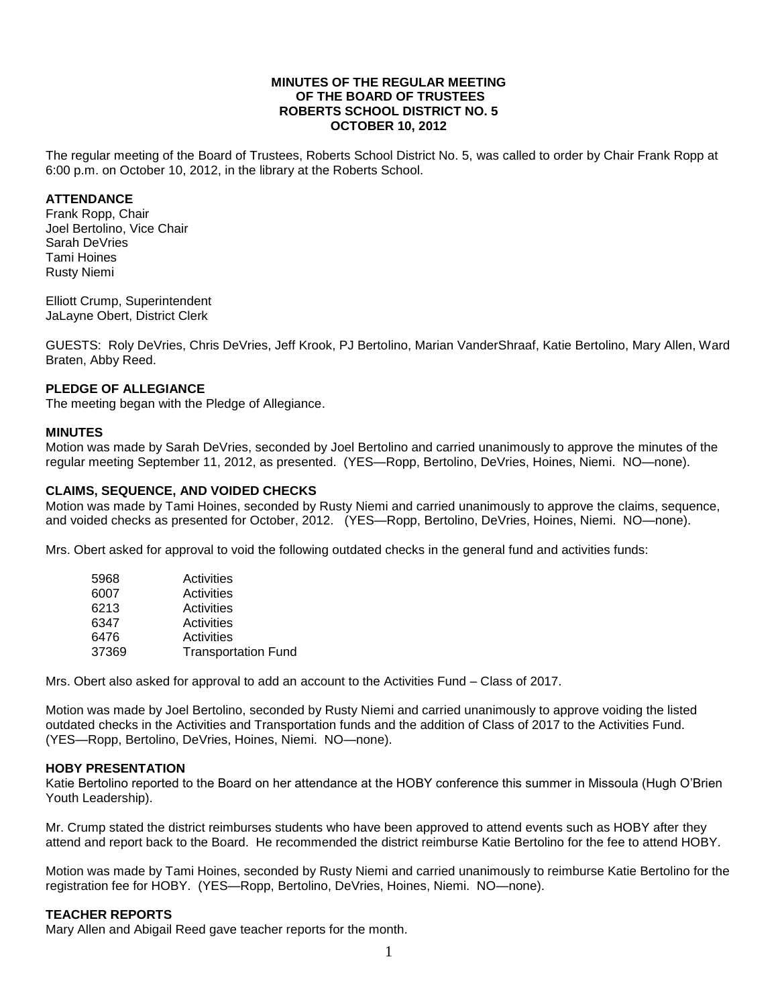#### **MINUTES OF THE REGULAR MEETING OF THE BOARD OF TRUSTEES ROBERTS SCHOOL DISTRICT NO. 5 OCTOBER 10, 2012**

The regular meeting of the Board of Trustees, Roberts School District No. 5, was called to order by Chair Frank Ropp at 6:00 p.m. on October 10, 2012, in the library at the Roberts School.

#### **ATTENDANCE**

Frank Ropp, Chair Joel Bertolino, Vice Chair Sarah DeVries Tami Hoines Rusty Niemi

Elliott Crump, Superintendent JaLayne Obert, District Clerk

GUESTS: Roly DeVries, Chris DeVries, Jeff Krook, PJ Bertolino, Marian VanderShraaf, Katie Bertolino, Mary Allen, Ward Braten, Abby Reed.

#### **PLEDGE OF ALLEGIANCE**

The meeting began with the Pledge of Allegiance.

#### **MINUTES**

Motion was made by Sarah DeVries, seconded by Joel Bertolino and carried unanimously to approve the minutes of the regular meeting September 11, 2012, as presented. (YES—Ropp, Bertolino, DeVries, Hoines, Niemi. NO—none).

#### **CLAIMS, SEQUENCE, AND VOIDED CHECKS**

Motion was made by Tami Hoines, seconded by Rusty Niemi and carried unanimously to approve the claims, sequence, and voided checks as presented for October, 2012. (YES—Ropp, Bertolino, DeVries, Hoines, Niemi. NO—none).

Mrs. Obert asked for approval to void the following outdated checks in the general fund and activities funds:

| 5968  | Activities                 |
|-------|----------------------------|
| 6007  | Activities                 |
| 6213  | Activities                 |
| 6347  | Activities                 |
| 6476  | Activities                 |
| 37369 | <b>Transportation Fund</b> |

Mrs. Obert also asked for approval to add an account to the Activities Fund – Class of 2017.

Motion was made by Joel Bertolino, seconded by Rusty Niemi and carried unanimously to approve voiding the listed outdated checks in the Activities and Transportation funds and the addition of Class of 2017 to the Activities Fund. (YES—Ropp, Bertolino, DeVries, Hoines, Niemi. NO—none).

#### **HOBY PRESENTATION**

Katie Bertolino reported to the Board on her attendance at the HOBY conference this summer in Missoula (Hugh O'Brien Youth Leadership).

Mr. Crump stated the district reimburses students who have been approved to attend events such as HOBY after they attend and report back to the Board. He recommended the district reimburse Katie Bertolino for the fee to attend HOBY.

Motion was made by Tami Hoines, seconded by Rusty Niemi and carried unanimously to reimburse Katie Bertolino for the registration fee for HOBY. (YES—Ropp, Bertolino, DeVries, Hoines, Niemi. NO—none).

### **TEACHER REPORTS**

Mary Allen and Abigail Reed gave teacher reports for the month.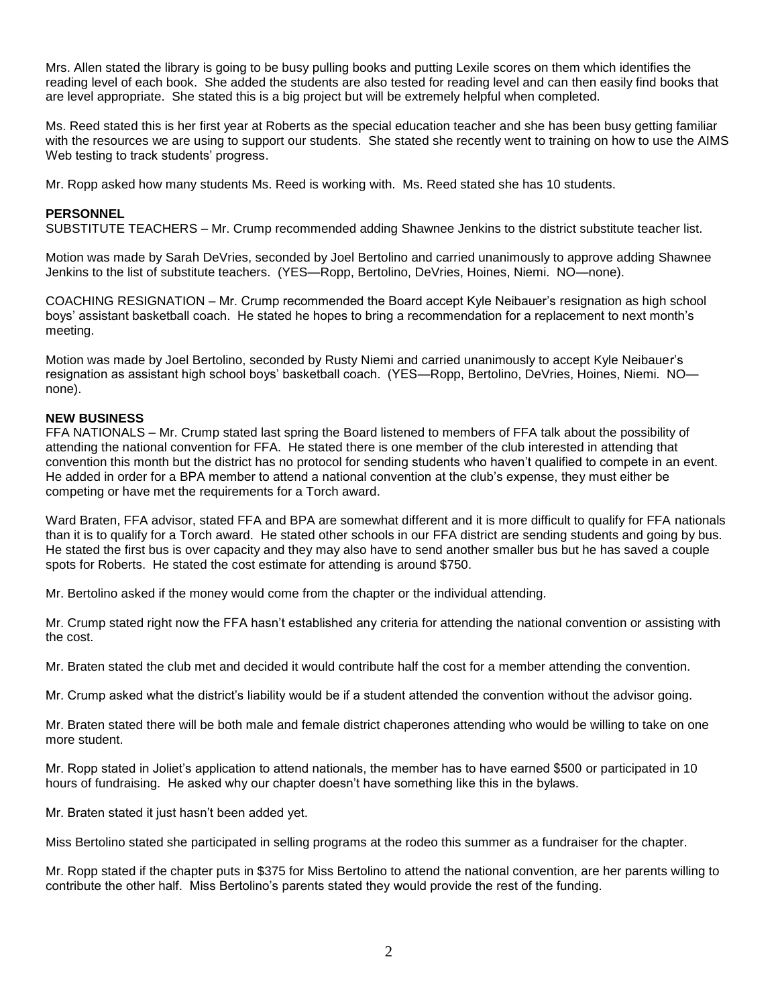Mrs. Allen stated the library is going to be busy pulling books and putting Lexile scores on them which identifies the reading level of each book. She added the students are also tested for reading level and can then easily find books that are level appropriate. She stated this is a big project but will be extremely helpful when completed.

Ms. Reed stated this is her first year at Roberts as the special education teacher and she has been busy getting familiar with the resources we are using to support our students. She stated she recently went to training on how to use the AIMS Web testing to track students' progress.

Mr. Ropp asked how many students Ms. Reed is working with. Ms. Reed stated she has 10 students.

#### **PERSONNEL**

SUBSTITUTE TEACHERS – Mr. Crump recommended adding Shawnee Jenkins to the district substitute teacher list.

Motion was made by Sarah DeVries, seconded by Joel Bertolino and carried unanimously to approve adding Shawnee Jenkins to the list of substitute teachers. (YES—Ropp, Bertolino, DeVries, Hoines, Niemi. NO—none).

COACHING RESIGNATION – Mr. Crump recommended the Board accept Kyle Neibauer's resignation as high school boys' assistant basketball coach. He stated he hopes to bring a recommendation for a replacement to next month's meeting.

Motion was made by Joel Bertolino, seconded by Rusty Niemi and carried unanimously to accept Kyle Neibauer's resignation as assistant high school boys' basketball coach. (YES—Ropp, Bertolino, DeVries, Hoines, Niemi. NO none).

#### **NEW BUSINESS**

FFA NATIONALS – Mr. Crump stated last spring the Board listened to members of FFA talk about the possibility of attending the national convention for FFA. He stated there is one member of the club interested in attending that convention this month but the district has no protocol for sending students who haven't qualified to compete in an event. He added in order for a BPA member to attend a national convention at the club's expense, they must either be competing or have met the requirements for a Torch award.

Ward Braten, FFA advisor, stated FFA and BPA are somewhat different and it is more difficult to qualify for FFA nationals than it is to qualify for a Torch award. He stated other schools in our FFA district are sending students and going by bus. He stated the first bus is over capacity and they may also have to send another smaller bus but he has saved a couple spots for Roberts. He stated the cost estimate for attending is around \$750.

Mr. Bertolino asked if the money would come from the chapter or the individual attending.

Mr. Crump stated right now the FFA hasn't established any criteria for attending the national convention or assisting with the cost.

Mr. Braten stated the club met and decided it would contribute half the cost for a member attending the convention.

Mr. Crump asked what the district's liability would be if a student attended the convention without the advisor going.

Mr. Braten stated there will be both male and female district chaperones attending who would be willing to take on one more student.

Mr. Ropp stated in Joliet's application to attend nationals, the member has to have earned \$500 or participated in 10 hours of fundraising. He asked why our chapter doesn't have something like this in the bylaws.

Mr. Braten stated it just hasn't been added yet.

Miss Bertolino stated she participated in selling programs at the rodeo this summer as a fundraiser for the chapter.

Mr. Ropp stated if the chapter puts in \$375 for Miss Bertolino to attend the national convention, are her parents willing to contribute the other half. Miss Bertolino's parents stated they would provide the rest of the funding.